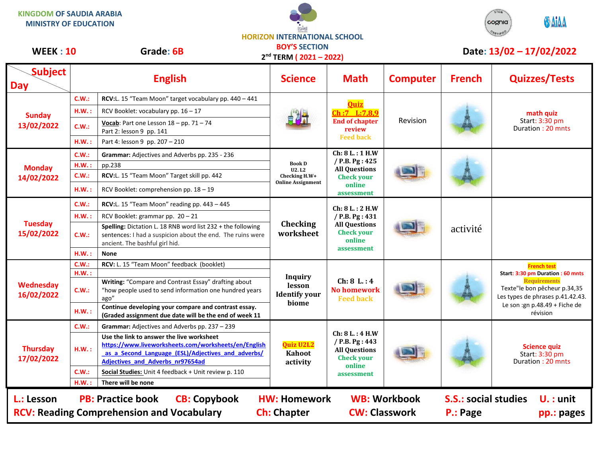**KINGDOM OF SAUDIA ARABIA MINISTRY OF EDUCATION**





## **BOY'S SECTION**

**Subject Day English English Science Math Computer French Quizzes/Tests Sunday 13/02/2022 C.W.: RCV:**L. 15 "Team Moon" target vocabulary pp. 440 – 441 **Quiz Ch :7 L:7,8,9 End of chapter review Feed back** Revision **math quiz** Start: 3:30 pm Duration : 20 mnts H.W. : RCV Booklet: vocabulary pp. 16 – 17 **C.W.:**  $\text{Vocab}$ : Part one Lesson  $18 - pp$ . 71 – 74 Part 2: lesson 9 pp. 141 **H.W. :** Part 4: lesson 9 pp. 207 – 210 **Monday 14/02/2022 C.W.: Grammar:** Adjectives and Adverbs pp. 235 - 236 **Book D U2. L2 Checking H.W+ Online Assignment Ch: 8 L. : 1 H.W / P.B. Pg : 425 All Questions Check your online assessment H.W. :** pp.238 **C.W.: RCV:**L. 15 "Team Moon" Target skill pp. 442 **H.W. :** RCV Booklet: comprehension pp. 18 – 19 **Tuesday 15/02/2022 C.W.: RCV:**L. 15 "Team Moon" reading pp. 443 – 445 **Checking worksheet Ch: 8 L. : 2 H.W / P.B. Pg : 431 All Questions Check your online assessment** activité H.W. : RCV Booklet: grammar pp. 20 – 21 **C.W.: Spelling:** Dictation L. 18 RNB word list 232 + the following sentences: I had a suspicion about the end. The ruins were ancient. The bashful girl hid. **H.W. : None Wednesday 16/02/2022 C.W.: RCV:** L. 15 "Team Moon" feedback (booklet) **Inquiry lesson Identify your biome Ch: 8 L. : 4 No homework Feed back French test Start: 3:30 pm Duration : 60 mnts Requirements** Texte"le bon pêcheur p.34,35 Les types de phrases p.41.42.43. Le son :gn p.48.49 + Fiche de révision **H.W. : C.W.: Writing:** "Compare and Contrast Essay" drafting about "how people used to send information one hundred years ago" **H.W. : Continue developing your compare and contrast essay. (Graded assignment due date will be the end of week 11 Thursday 17/02/2022 C.W.: Grammar:** Adjectives and Adverbs pp. 237 – 239 **Quiz U2L2 Kahoot activity Ch: 8 L. : 4 H.W / P.B. Pg : 443 All Questions Check your online assessment Science quiz** Start: 3:30 pm Duration : 20 mnts **H.W. : Use the link to answer the live worksheet [https://www.liveworksheets.com/worksheets/en/English](https://www.liveworksheets.com/worksheets/en/English_as_a_Second_Language_(ESL)/Adjectives_and_adverbs/Adjectives_and_Adverbs_nr97654ad) [\\_as\\_a\\_Second\\_Language\\_\(ESL\)/Adjectives\\_and\\_adverbs/](https://www.liveworksheets.com/worksheets/en/English_as_a_Second_Language_(ESL)/Adjectives_and_adverbs/Adjectives_and_Adverbs_nr97654ad) [Adjectives\\_and\\_Adverbs\\_nr97654ad](https://www.liveworksheets.com/worksheets/en/English_as_a_Second_Language_(ESL)/Adjectives_and_adverbs/Adjectives_and_Adverbs_nr97654ad) C.W.: Social Studies:** Unit 4 feedback + Unit review p. 110 **H.W. : There will be none WEEK : 10** Grade: 6B BUY'S SECTION **Date: 13/02 – 17/02/2022 L.: Lesson PB: Practice book CB: Copybook HW: Homework WB: Workbook S.S.: social studies U. : unit RCV: Reading Comprehension and Vocabulary and Ch: Chapter CW: Classwork P.: Page pp.: pages 2 nd TERM ( 2021 – 2022)**